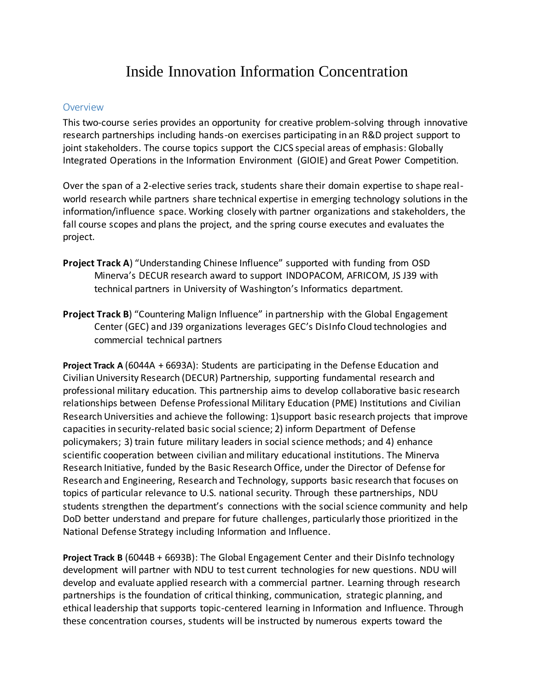## Inside Innovation Information Concentration

## **Overview**

This two-course series provides an opportunity for creative problem-solving through innovative research partnerships including hands-on exercises participating in an R&D project support to joint stakeholders. The course topics support the CJCS special areas of emphasis: Globally Integrated Operations in the Information Environment (GIOIE) and Great Power Competition.

Over the span of a 2-elective series track, students share their domain expertise to shape realworld research while partners share technical expertise in emerging technology solutions in the information/influence space. Working closely with partner organizations and stakeholders, the fall course scopes and plans the project, and the spring course executes and evaluates the project.

- **Project Track A**) "Understanding Chinese Influence" supported with funding from OSD Minerva's DECUR research award to support INDOPACOM, AFRICOM, JS J39 with technical partners in University of Washington's Informatics department.
- **Project Track B**) "Countering Malign Influence" in partnership with the Global Engagement Center (GEC) and J39 organizations leverages GEC's DisInfo Cloud technologies and commercial technical partners

**Project Track A** (6044A + 6693A): Students are participating in the Defense Education and Civilian University Research (DECUR) Partnership, supporting fundamental research and professional military education. This partnership aims to develop collaborative basic research relationships between Defense Professional Military Education (PME) Institutions and Civilian Research Universities and achieve the following: 1)support basic research projects that improve capacities in security-related basic social science; 2) inform Department of Defense policymakers; 3) train future military leaders in social science methods; and 4) enhance scientific cooperation between civilian and military educational institutions. The Minerva Research Initiative, funded by the Basic Research Office, under the Director of Defense for Research and Engineering, Research and Technology, supports basic research that focuses on topics of particular relevance to U.S. national security. Through these partnerships, NDU students strengthen the department's connections with the social science community and help DoD better understand and prepare for future challenges, particularly those prioritized in the National Defense Strategy including Information and Influence.

**Project Track B** (6044B + 6693B): The Global Engagement Center and their DisInfo technology development will partner with NDU to test current technologies for new questions. NDU will develop and evaluate applied research with a commercial partner. Learning through research partnerships is the foundation of critical thinking, communication, strategic planning, and ethical leadership that supports topic-centered learning in Information and Influence. Through these concentration courses, students will be instructed by numerous experts toward the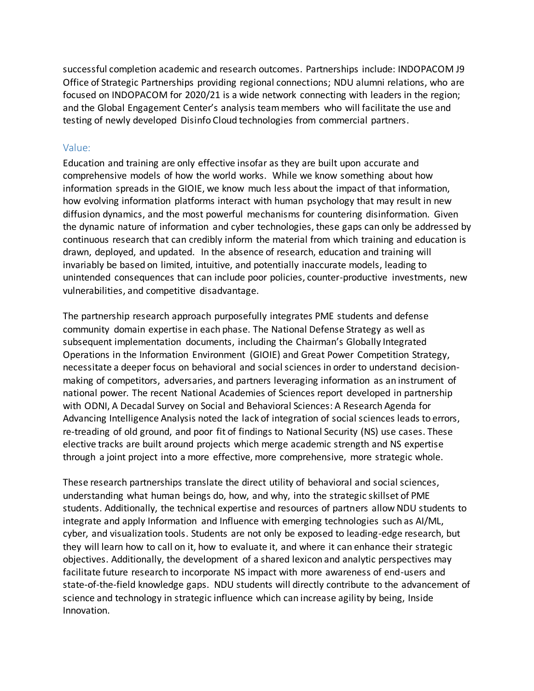successful completion academic and research outcomes. Partnerships include: INDOPACOM J9 Office of Strategic Partnerships providing regional connections; NDU alumni relations, who are focused on INDOPACOM for 2020/21 is a wide network connecting with leaders in the region; and the Global Engagement Center's analysis team members who will facilitate the use and testing of newly developed Disinfo Cloud technologies from commercial partners.

## Value:

Education and training are only effective insofar as they are built upon accurate and comprehensive models of how the world works. While we know something about how information spreads in the GIOIE, we know much less about the impact of that information, how evolving information platforms interact with human psychology that may result in new diffusion dynamics, and the most powerful mechanisms for countering disinformation. Given the dynamic nature of information and cyber technologies, these gaps can only be addressed by continuous research that can credibly inform the material from which training and education is drawn, deployed, and updated. In the absence of research, education and training will invariably be based on limited, intuitive, and potentially inaccurate models, leading to unintended consequences that can include poor policies, counter-productive investments, new vulnerabilities, and competitive disadvantage.

The partnership research approach purposefully integrates PME students and defense community domain expertise in each phase. The National Defense Strategy as well as subsequent implementation documents, including the Chairman's Globally Integrated Operations in the Information Environment (GIOIE) and Great Power Competition Strategy, necessitate a deeper focus on behavioral and social sciences in order to understand decisionmaking of competitors, adversaries, and partners leveraging information as an instrument of national power. The recent National Academies of Sciences report developed in partnership with ODNI, A Decadal Survey on Social and Behavioral Sciences: A Research Agenda for Advancing Intelligence Analysis noted the lack of integration of social sciences leads to errors, re-treading of old ground, and poor fit of findings to National Security (NS) use cases. These elective tracks are built around projects which merge academic strength and NS expertise through a joint project into a more effective, more comprehensive, more strategic whole.

These research partnerships translate the direct utility of behavioral and social sciences, understanding what human beings do, how, and why, into the strategic skillset of PME students. Additionally, the technical expertise and resources of partners allow NDU students to integrate and apply Information and Influence with emerging technologies such as AI/ML, cyber, and visualization tools. Students are not only be exposed to leading-edge research, but they will learn how to call on it, how to evaluate it, and where it can enhance their strategic objectives. Additionally, the development of a shared lexicon and analytic perspectives may facilitate future research to incorporate NS impact with more awareness of end-users and state-of-the-field knowledge gaps. NDU students will directly contribute to the advancement of science and technology in strategic influence which can increase agility by being, Inside Innovation.